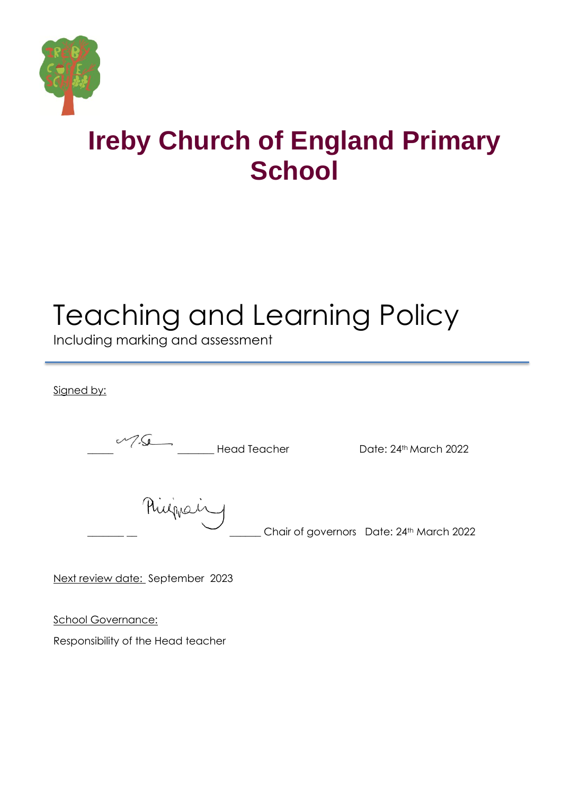

## **Ireby Church of England Primary School**

# Teaching and Learning Policy

Including marking and assessment

Signed by:

 $\sqrt{2\pi}$  Head Teacher Date: 24<sup>th</sup> March 2022

Rugian Chair of governors Date: 24th March 2022

Next review date: September 2023

School Governance:

Responsibility of the Head teacher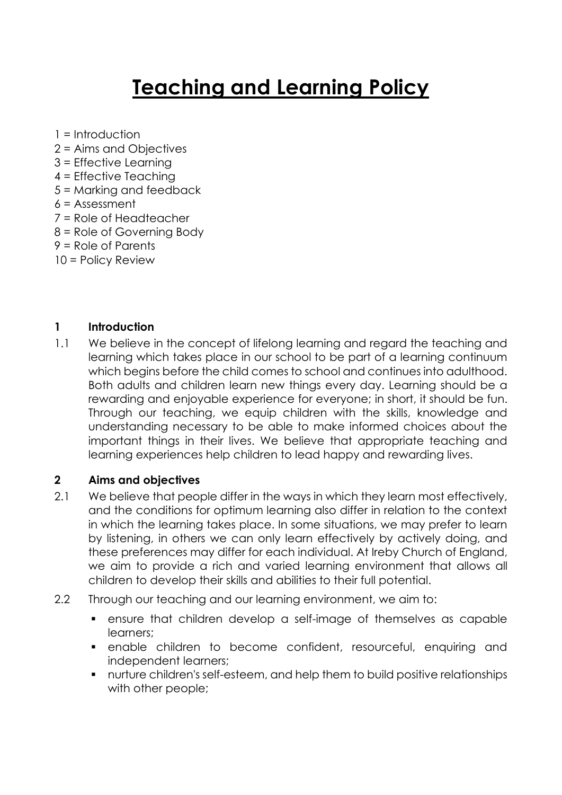### **Teaching and Learning Policy**

- 1 = Introduction
- 2 = Aims and Objectives
- 3 = Effective Learning
- 4 = Effective Teaching
- 5 = Marking and feedback
- $6 =$ Assessment
- 7 = Role of Headteacher
- 8 = Role of Governing Body
- 9 = Role of Parents
- 10 = Policy Review

#### **1 Introduction**

1.1 We believe in the concept of lifelong learning and regard the teaching and learning which takes place in our school to be part of a learning continuum which begins before the child comes to school and continues into adulthood. Both adults and children learn new things every day. Learning should be a rewarding and enjoyable experience for everyone; in short, it should be fun. Through our teaching, we equip children with the skills, knowledge and understanding necessary to be able to make informed choices about the important things in their lives. We believe that appropriate teaching and learning experiences help children to lead happy and rewarding lives.

#### **2 Aims and objectives**

- 2.1 We believe that people differ in the ways in which they learn most effectively, and the conditions for optimum learning also differ in relation to the context in which the learning takes place. In some situations, we may prefer to learn by listening, in others we can only learn effectively by actively doing, and these preferences may differ for each individual. At Ireby Church of England, we aim to provide a rich and varied learning environment that allows all children to develop their skills and abilities to their full potential.
- 2.2 Through our teaching and our learning environment, we aim to:
	- ensure that children develop a self-image of themselves as capable learners;
	- enable children to become confident, resourceful, enquiring and independent learners;
	- nurture children's self-esteem, and help them to build positive relationships with other people;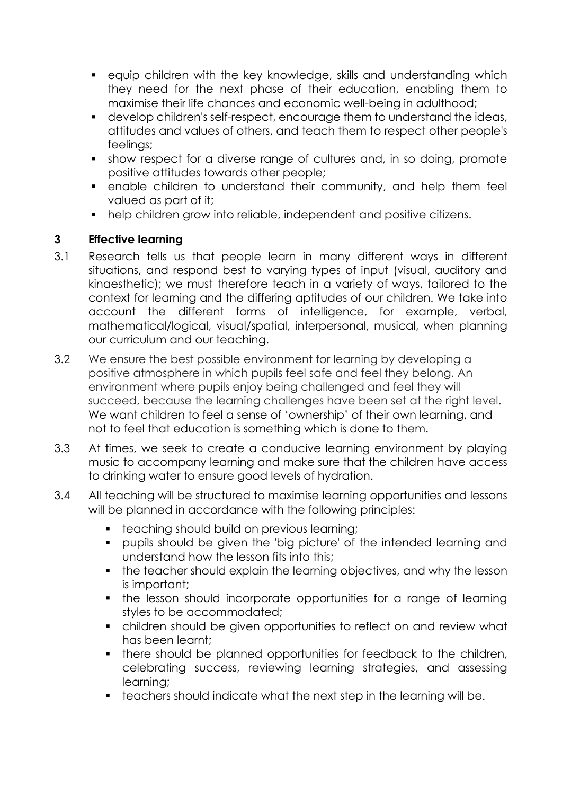- equip children with the key knowledge, skills and understanding which they need for the next phase of their education, enabling them to maximise their life chances and economic well-being in adulthood;
- develop children's self-respect, encourage them to understand the ideas, attitudes and values of others, and teach them to respect other people's feelings;
- show respect for a diverse range of cultures and, in so doing, promote positive attitudes towards other people;
- enable children to understand their community, and help them feel valued as part of it;
- help children grow into reliable, independent and positive citizens.

#### **3 Effective learning**

- 3.1 Research tells us that people learn in many different ways in different situations, and respond best to varying types of input (visual, auditory and kinaesthetic); we must therefore teach in a variety of ways, tailored to the context for learning and the differing aptitudes of our children. We take into account the different forms of intelligence, for example, verbal, mathematical/logical, visual/spatial, interpersonal, musical, when planning our curriculum and our teaching.
- 3.2 We ensure the best possible environment for learning by developing a positive atmosphere in which pupils feel safe and feel they belong. An environment where pupils enjoy being challenged and feel they will succeed, because the learning challenges have been set at the right level. We want children to feel a sense of 'ownership' of their own learning, and not to feel that education is something which is done to them.
- 3.3 At times, we seek to create a conducive learning environment by playing music to accompany learning and make sure that the children have access to drinking water to ensure good levels of hydration.
- 3.4 All teaching will be structured to maximise learning opportunities and lessons will be planned in accordance with the following principles:
	- **•** teaching should build on previous learning;
	- pupils should be given the 'big picture' of the intended learning and understand how the lesson fits into this;
	- the teacher should explain the learning objectives, and why the lesson is important;
	- the lesson should incorporate opportunities for a range of learning styles to be accommodated;
	- children should be given opportunities to reflect on and review what has been learnt;
	- there should be planned opportunities for feedback to the children, celebrating success, reviewing learning strategies, and assessing learning;
	- teachers should indicate what the next step in the learning will be.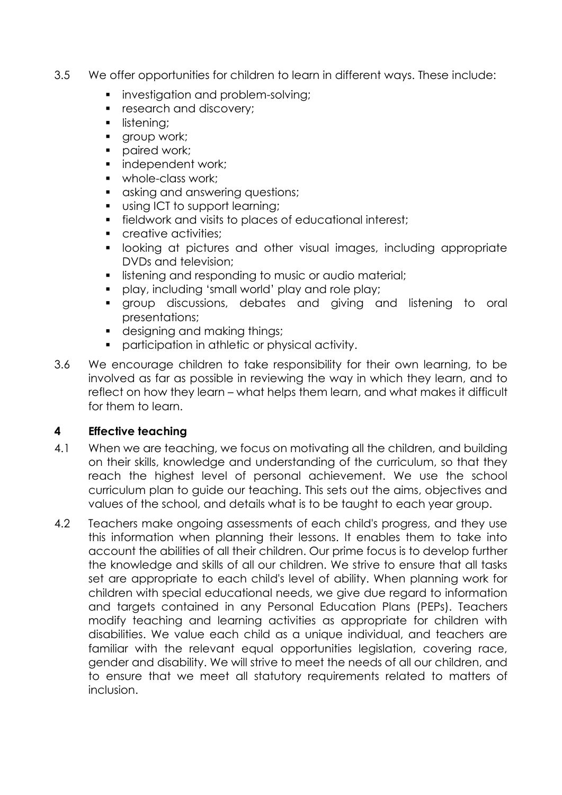- 3.5 We offer opportunities for children to learn in different ways. These include:
	- **•** investigation and problem-solving;
	- research and discovery;
	- **·** listening;
	- **•** group work;
	- paired work;
	- independent work;
	- whole-class work;
	- asking and answering questions;
	- using ICT to support learning;
	- fieldwork and visits to places of educational interest;
	- creative activities;
	- **•** looking at pictures and other visual images, including appropriate DVDs and television;
	- **E** listening and responding to music or audio material;
	- play, including 'small world' play and role play;
	- group discussions, debates and giving and listening to oral presentations;
	- designing and making things;
	- participation in athletic or physical activity.
- 3.6 We encourage children to take responsibility for their own learning, to be involved as far as possible in reviewing the way in which they learn, and to reflect on how they learn – what helps them learn, and what makes it difficult for them to learn.

#### **4 Effective teaching**

- 4.1 When we are teaching, we focus on motivating all the children, and building on their skills, knowledge and understanding of the curriculum, so that they reach the highest level of personal achievement. We use the school curriculum plan to guide our teaching. This sets out the aims, objectives and values of the school, and details what is to be taught to each year group.
- 4.2 Teachers make ongoing assessments of each child's progress, and they use this information when planning their lessons. It enables them to take into account the abilities of all their children. Our prime focus is to develop further the knowledge and skills of all our children. We strive to ensure that all tasks set are appropriate to each child's level of ability. When planning work for children with special educational needs, we give due regard to information and targets contained in any Personal Education Plans (PEPs). Teachers modify teaching and learning activities as appropriate for children with disabilities. We value each child as a unique individual, and teachers are familiar with the relevant equal opportunities legislation, covering race, gender and disability. We will strive to meet the needs of all our children, and to ensure that we meet all statutory requirements related to matters of inclusion.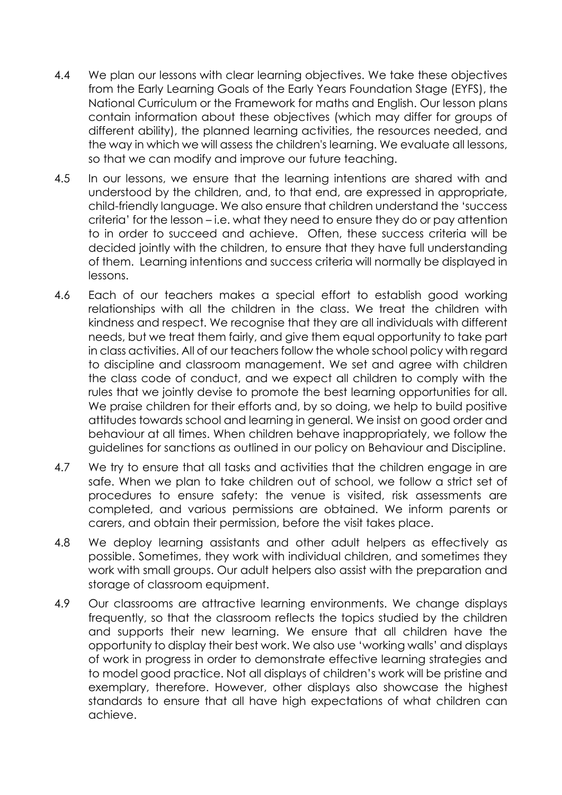- 4.4 We plan our lessons with clear learning objectives. We take these objectives from the Early Learning Goals of the Early Years Foundation Stage (EYFS), the National Curriculum or the Framework for maths and English. Our lesson plans contain information about these objectives (which may differ for groups of different ability), the planned learning activities, the resources needed, and the way in which we will assess the children's learning. We evaluate all lessons, so that we can modify and improve our future teaching.
- 4.5 In our lessons, we ensure that the learning intentions are shared with and understood by the children, and, to that end, are expressed in appropriate, child-friendly language. We also ensure that children understand the 'success criteria' for the lesson – i.e. what they need to ensure they do or pay attention to in order to succeed and achieve. Often, these success criteria will be decided jointly with the children, to ensure that they have full understanding of them. Learning intentions and success criteria will normally be displayed in lessons.
- 4.6 Each of our teachers makes a special effort to establish good working relationships with all the children in the class. We treat the children with kindness and respect. We recognise that they are all individuals with different needs, but we treat them fairly, and give them equal opportunity to take part in class activities. All of our teachers follow the whole school policy with regard to discipline and classroom management. We set and agree with children the class code of conduct, and we expect all children to comply with the rules that we jointly devise to promote the best learning opportunities for all. We praise children for their efforts and, by so doing, we help to build positive attitudes towards school and learning in general. We insist on good order and behaviour at all times. When children behave inappropriately, we follow the guidelines for sanctions as outlined in our policy on Behaviour and Discipline.
- 4.7 We try to ensure that all tasks and activities that the children engage in are safe. When we plan to take children out of school, we follow a strict set of procedures to ensure safety: the venue is visited, risk assessments are completed, and various permissions are obtained. We inform parents or carers, and obtain their permission, before the visit takes place.
- 4.8 We deploy learning assistants and other adult helpers as effectively as possible. Sometimes, they work with individual children, and sometimes they work with small groups. Our adult helpers also assist with the preparation and storage of classroom equipment.
- 4.9 Our classrooms are attractive learning environments. We change displays frequently, so that the classroom reflects the topics studied by the children and supports their new learning. We ensure that all children have the opportunity to display their best work. We also use 'working walls' and displays of work in progress in order to demonstrate effective learning strategies and to model good practice. Not all displays of children's work will be pristine and exemplary, therefore. However, other displays also showcase the highest standards to ensure that all have high expectations of what children can achieve.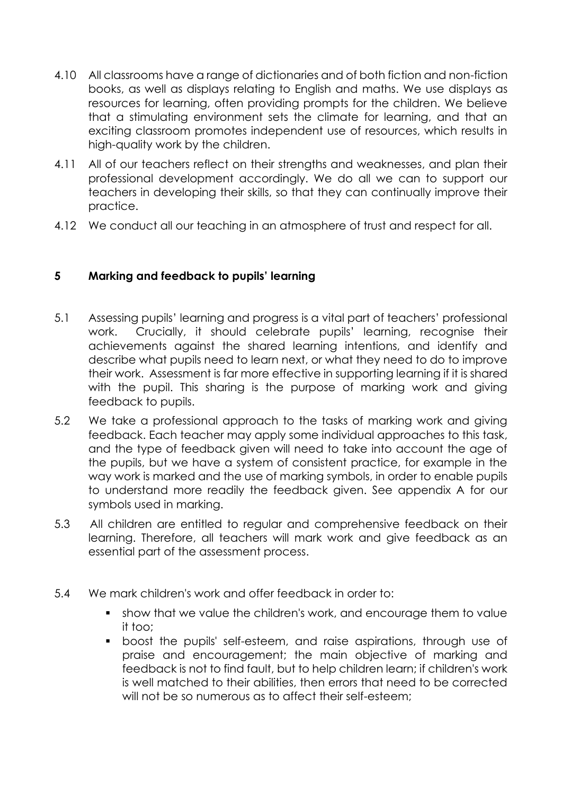- 4.10 All classrooms have a range of dictionaries and of both fiction and non-fiction books, as well as displays relating to English and maths. We use displays as resources for learning, often providing prompts for the children. We believe that a stimulating environment sets the climate for learning, and that an exciting classroom promotes independent use of resources, which results in high-quality work by the children.
- 4.11 All of our teachers reflect on their strengths and weaknesses, and plan their professional development accordingly. We do all we can to support our teachers in developing their skills, so that they can continually improve their practice.
- 4.12 We conduct all our teaching in an atmosphere of trust and respect for all.

#### **5 Marking and feedback to pupils' learning**

- 5.1 Assessing pupils' learning and progress is a vital part of teachers' professional work. Crucially, it should celebrate pupils' learning, recognise their achievements against the shared learning intentions, and identify and describe what pupils need to learn next, or what they need to do to improve their work. Assessment is far more effective in supporting learning if it is shared with the pupil. This sharing is the purpose of marking work and giving feedback to pupils.
- 5.2 We take a professional approach to the tasks of marking work and giving feedback. Each teacher may apply some individual approaches to this task, and the type of feedback given will need to take into account the age of the pupils, but we have a system of consistent practice, for example in the way work is marked and the use of marking symbols, in order to enable pupils to understand more readily the feedback given. See appendix A for our symbols used in marking.
- 5.3 All children are entitled to regular and comprehensive feedback on their learning. Therefore, all teachers will mark work and give feedback as an essential part of the assessment process.
- 5.4 We mark children's work and offer feedback in order to:
	- show that we value the children's work, and encourage them to value it too;
	- boost the pupils' self-esteem, and raise aspirations, through use of praise and encouragement; the main objective of marking and feedback is not to find fault, but to help children learn; if children's work is well matched to their abilities, then errors that need to be corrected will not be so numerous as to affect their self-esteem;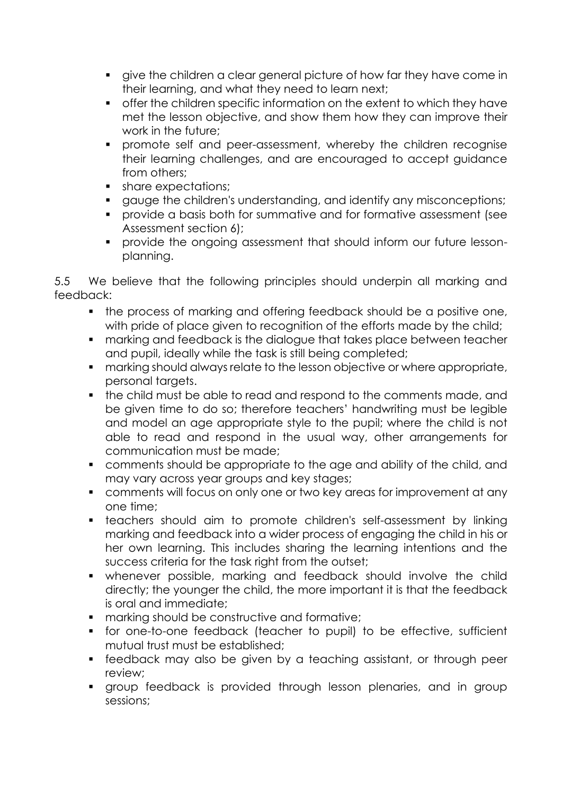- give the children a clear general picture of how far they have come in their learning, and what they need to learn next;
- offer the children specific information on the extent to which they have met the lesson objective, and show them how they can improve their work in the future;
- **•** promote self and peer-assessment, whereby the children recognise their learning challenges, and are encouraged to accept guidance from others;
- share expectations;
- gauge the children's understanding, and identify any misconceptions;
- provide a basis both for summative and for formative assessment (see Assessment section 6);
- provide the ongoing assessment that should inform our future lessonplanning.

5.5 We believe that the following principles should underpin all marking and feedback:

- the process of marking and offering feedback should be a positive one, with pride of place given to recognition of the efforts made by the child;
- marking and feedback is the dialogue that takes place between teacher and pupil, ideally while the task is still being completed;
- marking should always relate to the lesson objective or where appropriate, personal targets.
- the child must be able to read and respond to the comments made, and be given time to do so; therefore teachers' handwriting must be legible and model an age appropriate style to the pupil; where the child is not able to read and respond in the usual way, other arrangements for communication must be made;
- comments should be appropriate to the age and ability of the child, and may vary across year groups and key stages;
- comments will focus on only one or two key areas for improvement at any one time;
- **•** teachers should aim to promote children's self-assessment by linking marking and feedback into a wider process of engaging the child in his or her own learning. This includes sharing the learning intentions and the success criteria for the task right from the outset;
- whenever possible, marking and feedback should involve the child directly; the younger the child, the more important it is that the feedback is oral and immediate;
- marking should be constructive and formative;
- for one-to-one feedback (teacher to pupil) to be effective, sufficient mutual trust must be established;
- feedback may also be given by a teaching assistant, or through peer review;
- group feedback is provided through lesson plenaries, and in group sessions;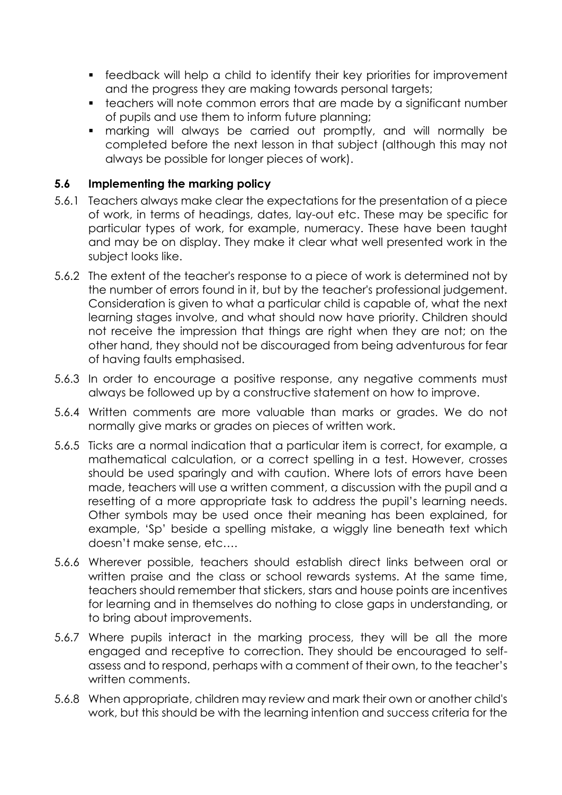- feedback will help a child to identify their key priorities for improvement and the progress they are making towards personal targets;
- teachers will note common errors that are made by a significant number of pupils and use them to inform future planning;
- marking will always be carried out promptly, and will normally be completed before the next lesson in that subject (although this may not always be possible for longer pieces of work).

#### **5.6 Implementing the marking policy**

- 5.6.1 Teachers always make clear the expectations for the presentation of a piece of work, in terms of headings, dates, lay-out etc. These may be specific for particular types of work, for example, numeracy. These have been taught and may be on display. They make it clear what well presented work in the subject looks like.
- 5.6.2 The extent of the teacher's response to a piece of work is determined not by the number of errors found in it, but by the teacher's professional judgement. Consideration is given to what a particular child is capable of, what the next learning stages involve, and what should now have priority. Children should not receive the impression that things are right when they are not; on the other hand, they should not be discouraged from being adventurous for fear of having faults emphasised.
- 5.6.3 In order to encourage a positive response, any negative comments must always be followed up by a constructive statement on how to improve.
- 5.6.4 Written comments are more valuable than marks or grades. We do not normally give marks or grades on pieces of written work.
- 5.6.5 Ticks are a normal indication that a particular item is correct, for example, a mathematical calculation, or a correct spelling in a test. However, crosses should be used sparingly and with caution. Where lots of errors have been made, teachers will use a written comment, a discussion with the pupil and a resetting of a more appropriate task to address the pupil's learning needs. Other symbols may be used once their meaning has been explained, for example, 'Sp' beside a spelling mistake, a wiggly line beneath text which doesn't make sense, etc….
- 5.6.6 Wherever possible, teachers should establish direct links between oral or written praise and the class or school rewards systems. At the same time, teachers should remember that stickers, stars and house points are incentives for learning and in themselves do nothing to close gaps in understanding, or to bring about improvements.
- 5.6.7 Where pupils interact in the marking process, they will be all the more engaged and receptive to correction. They should be encouraged to selfassess and to respond, perhaps with a comment of their own, to the teacher's written comments.
- 5.6.8 When appropriate, children may review and mark their own or another child's work, but this should be with the learning intention and success criteria for the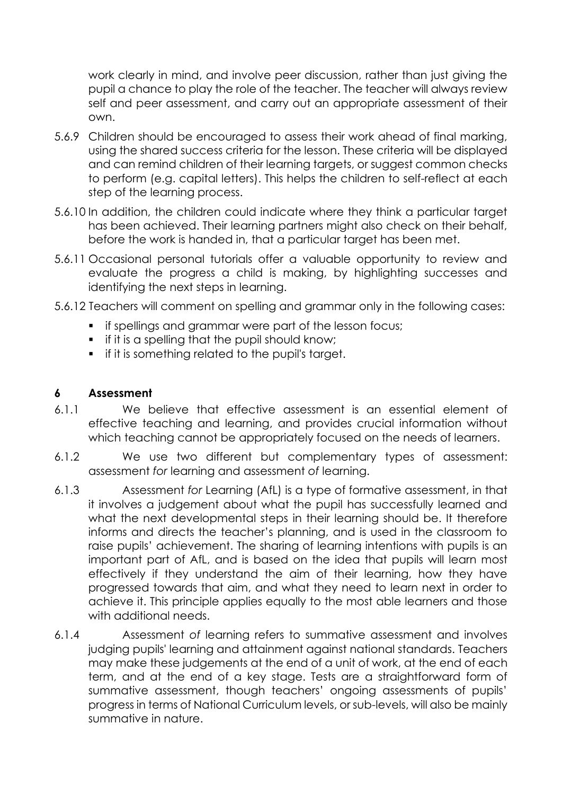work clearly in mind, and involve peer discussion, rather than just giving the pupil a chance to play the role of the teacher. The teacher will always review self and peer assessment, and carry out an appropriate assessment of their own.

- 5.6.9 Children should be encouraged to assess their work ahead of final marking, using the shared success criteria for the lesson. These criteria will be displayed and can remind children of their learning targets, or suggest common checks to perform (e.g. capital letters). This helps the children to self-reflect at each step of the learning process.
- 5.6.10 In addition, the children could indicate where they think a particular target has been achieved. Their learning partners might also check on their behalf, before the work is handed in, that a particular target has been met.
- 5.6.11 Occasional personal tutorials offer a valuable opportunity to review and evaluate the progress a child is making, by highlighting successes and identifying the next steps in learning.
- 5.6.12 Teachers will comment on spelling and grammar only in the following cases:
	- **•** if spellings and grammar were part of the lesson focus;
	- **•** if it is a spelling that the pupil should know;
	- **•** if it is something related to the pupil's target.

#### **6 Assessment**

- 6.1.1 We believe that effective assessment is an essential element of effective teaching and learning, and provides crucial information without which teaching cannot be appropriately focused on the needs of learners.
- 6.1.2 We use two different but complementary types of assessment: assessment *for* learning and assessment *of* learning.
- 6.1.3 Assessment *for* Learning (AfL) is a type of formative assessment, in that it involves a judgement about what the pupil has successfully learned and what the next developmental steps in their learning should be. It therefore informs and directs the teacher's planning, and is used in the classroom to raise pupils' achievement. The sharing of learning intentions with pupils is an important part of AfL, and is based on the idea that pupils will learn most effectively if they understand the aim of their learning, how they have progressed towards that aim, and what they need to learn next in order to achieve it. This principle applies equally to the most able learners and those with additional needs.
- 6.1.4 Assessment *of* learning refers to summative assessment and involves judging pupils' learning and attainment against national standards. Teachers may make these judgements at the end of a unit of work, at the end of each term, and at the end of a key stage. Tests are a straightforward form of summative assessment, though teachers' ongoing assessments of pupils' progress in terms of National Curriculum levels, or sub-levels, will also be mainly summative in nature.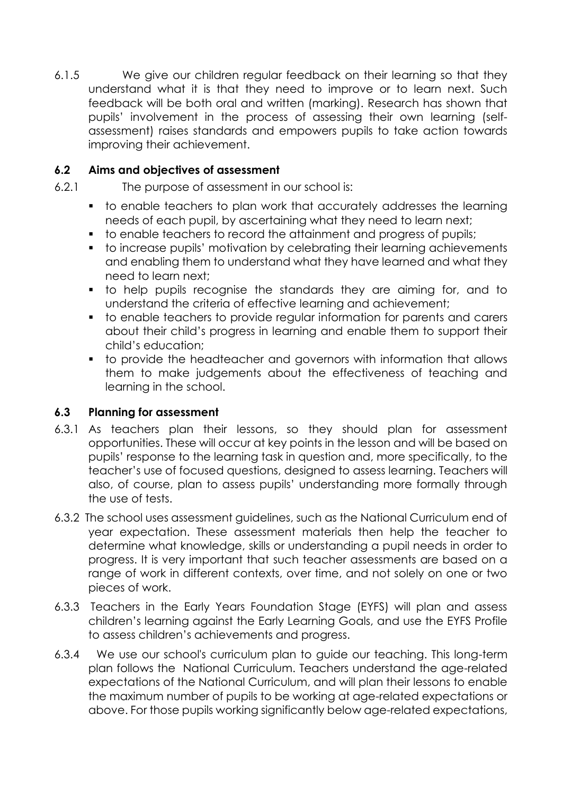6.1.5 We give our children regular feedback on their learning so that they understand what it is that they need to improve or to learn next. Such feedback will be both oral and written (marking). Research has shown that pupils' involvement in the process of assessing their own learning (selfassessment) raises standards and empowers pupils to take action towards improving their achievement.

#### **6.2 Aims and objectives of assessment**

- 6.2.1 The purpose of assessment in our school is:
	- to enable teachers to plan work that accurately addresses the learning needs of each pupil, by ascertaining what they need to learn next;
	- to enable teachers to record the attainment and progress of pupils;
	- to increase pupils' motivation by celebrating their learning achievements and enabling them to understand what they have learned and what they need to learn next;
	- to help pupils recognise the standards they are aiming for, and to understand the criteria of effective learning and achievement;
	- to enable teachers to provide regular information for parents and carers about their child's progress in learning and enable them to support their child's education;
	- to provide the headteacher and governors with information that allows them to make judgements about the effectiveness of teaching and learning in the school.

#### **6.3 Planning for assessment**

- 6.3.1 As teachers plan their lessons, so they should plan for assessment opportunities. These will occur at key points in the lesson and will be based on pupils' response to the learning task in question and, more specifically, to the teacher's use of focused questions, designed to assess learning. Teachers will also, of course, plan to assess pupils' understanding more formally through the use of tests.
- 6.3.2 The school uses assessment guidelines, such as the National Curriculum end of year expectation. These assessment materials then help the teacher to determine what knowledge, skills or understanding a pupil needs in order to progress. It is very important that such teacher assessments are based on a range of work in different contexts, over time, and not solely on one or two pieces of work.
- 6.3.3 Teachers in the Early Years Foundation Stage (EYFS) will plan and assess children's learning against the Early Learning Goals, and use the EYFS Profile to assess children's achievements and progress.
- 6.3.4 We use our school's curriculum plan to guide our teaching. This long-term plan follows the National Curriculum. Teachers understand the age-related expectations of the National Curriculum, and will plan their lessons to enable the maximum number of pupils to be working at age-related expectations or above. For those pupils working significantly below age-related expectations,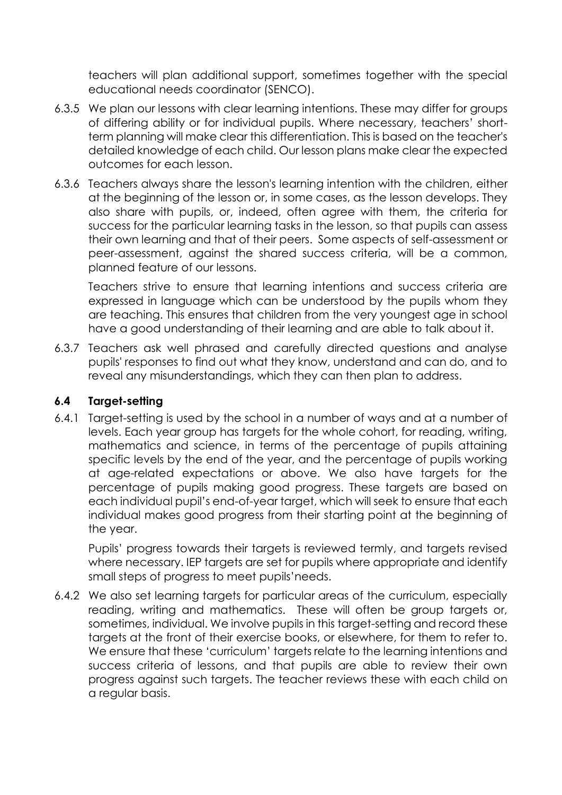teachers will plan additional support, sometimes together with the special educational needs coordinator (SENCO).

- 6.3.5 We plan our lessons with clear learning intentions. These may differ for groups of differing ability or for individual pupils. Where necessary, teachers' shortterm planning will make clear this differentiation. This is based on the teacher's detailed knowledge of each child. Our lesson plans make clear the expected outcomes for each lesson.
- 6.3.6 Teachers always share the lesson's learning intention with the children, either at the beginning of the lesson or, in some cases, as the lesson develops. They also share with pupils, or, indeed, often agree with them, the criteria for success for the particular learning tasks in the lesson, so that pupils can assess their own learning and that of their peers. Some aspects of self-assessment or peer-assessment, against the shared success criteria, will be a common, planned feature of our lessons.

Teachers strive to ensure that learning intentions and success criteria are expressed in language which can be understood by the pupils whom they are teaching. This ensures that children from the very youngest age in school have a good understanding of their learning and are able to talk about it.

6.3.7 Teachers ask well phrased and carefully directed questions and analyse pupils' responses to find out what they know, understand and can do, and to reveal any misunderstandings, which they can then plan to address.

#### **6.4 Target-setting**

6.4.1 Target-setting is used by the school in a number of ways and at a number of levels. Each year group has targets for the whole cohort, for reading, writing, mathematics and science, in terms of the percentage of pupils attaining specific levels by the end of the year, and the percentage of pupils working at age-related expectations or above. We also have targets for the percentage of pupils making good progress. These targets are based on each individual pupil's end-of-year target, which will seek to ensure that each individual makes good progress from their starting point at the beginning of the year.

Pupils' progress towards their targets is reviewed termly, and targets revised where necessary. IEP targets are set for pupils where appropriate and identify small steps of progress to meet pupils'needs.

6.4.2 We also set learning targets for particular areas of the curriculum, especially reading, writing and mathematics. These will often be group targets or, sometimes, individual. We involve pupils in this target-setting and record these targets at the front of their exercise books, or elsewhere, for them to refer to. We ensure that these 'curriculum' targets relate to the learning intentions and success criteria of lessons, and that pupils are able to review their own progress against such targets. The teacher reviews these with each child on a regular basis.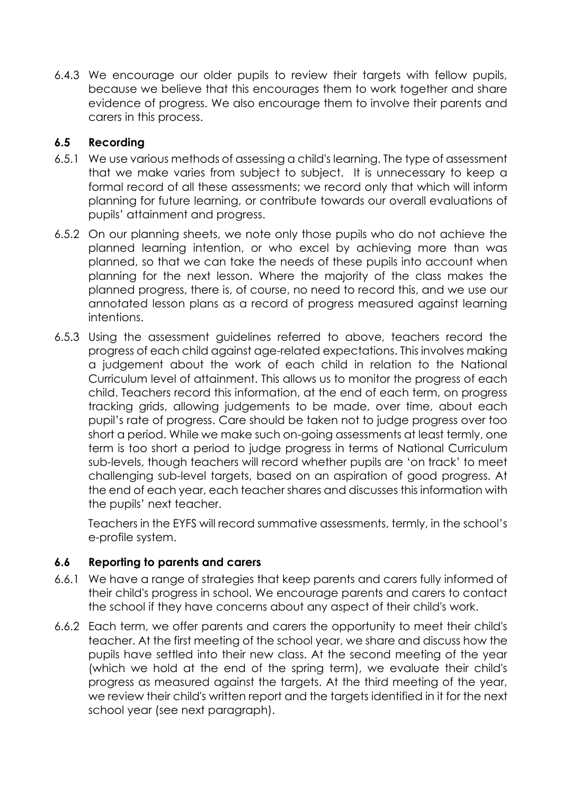6.4.3 We encourage our older pupils to review their targets with fellow pupils, because we believe that this encourages them to work together and share evidence of progress. We also encourage them to involve their parents and carers in this process.

#### **6.5 Recording**

- 6.5.1 We use various methods of assessing a child's learning. The type of assessment that we make varies from subject to subject. It is unnecessary to keep a formal record of all these assessments; we record only that which will inform planning for future learning, or contribute towards our overall evaluations of pupils' attainment and progress.
- 6.5.2 On our planning sheets, we note only those pupils who do not achieve the planned learning intention, or who excel by achieving more than was planned, so that we can take the needs of these pupils into account when planning for the next lesson. Where the majority of the class makes the planned progress, there is, of course, no need to record this, and we use our annotated lesson plans as a record of progress measured against learning intentions.
- 6.5.3 Using the assessment guidelines referred to above, teachers record the progress of each child against age-related expectations. This involves making a judgement about the work of each child in relation to the National Curriculum level of attainment. This allows us to monitor the progress of each child. Teachers record this information, at the end of each term, on progress tracking grids, allowing judgements to be made, over time, about each pupil's rate of progress. Care should be taken not to judge progress over too short a period. While we make such on-going assessments at least termly, one term is too short a period to judge progress in terms of National Curriculum sub-levels, though teachers will record whether pupils are 'on track' to meet challenging sub-level targets, based on an aspiration of good progress. At the end of each year, each teacher shares and discusses this information with the pupils' next teacher.

Teachers in the EYFS will record summative assessments, termly, in the school's e-profile system.

#### **6.6 Reporting to parents and carers**

- 6.6.1 We have a range of strategies that keep parents and carers fully informed of their child's progress in school. We encourage parents and carers to contact the school if they have concerns about any aspect of their child's work.
- 6.6.2 Each term, we offer parents and carers the opportunity to meet their child's teacher. At the first meeting of the school year, we share and discuss how the pupils have settled into their new class. At the second meeting of the year (which we hold at the end of the spring term), we evaluate their child's progress as measured against the targets. At the third meeting of the year, we review their child's written report and the targets identified in it for the next school year (see next paragraph).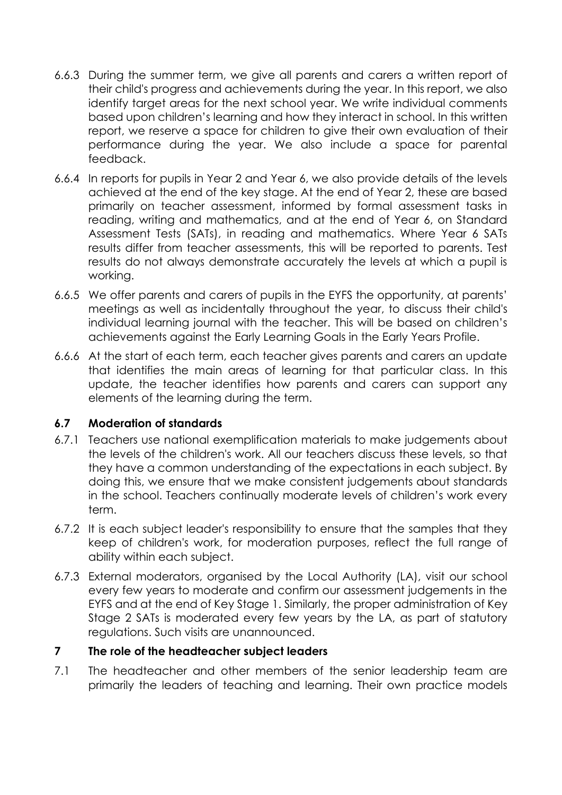- 6.6.3 During the summer term, we give all parents and carers a written report of their child's progress and achievements during the year. In this report, we also identify target areas for the next school year. We write individual comments based upon children's learning and how they interact in school. In this written report, we reserve a space for children to give their own evaluation of their performance during the year. We also include a space for parental feedback.
- 6.6.4 In reports for pupils in Year 2 and Year 6, we also provide details of the levels achieved at the end of the key stage. At the end of Year 2, these are based primarily on teacher assessment, informed by formal assessment tasks in reading, writing and mathematics, and at the end of Year 6, on Standard Assessment Tests (SATs), in reading and mathematics. Where Year 6 SATs results differ from teacher assessments, this will be reported to parents. Test results do not always demonstrate accurately the levels at which a pupil is working.
- 6.6.5 We offer parents and carers of pupils in the EYFS the opportunity, at parents' meetings as well as incidentally throughout the year, to discuss their child's individual learning journal with the teacher. This will be based on children's achievements against the Early Learning Goals in the Early Years Profile.
- 6.6.6 At the start of each term, each teacher gives parents and carers an update that identifies the main areas of learning for that particular class. In this update, the teacher identifies how parents and carers can support any elements of the learning during the term.

#### **6.7 Moderation of standards**

- 6.7.1 Teachers use national exemplification materials to make judgements about the levels of the children's work. All our teachers discuss these levels, so that they have a common understanding of the expectations in each subject. By doing this, we ensure that we make consistent judgements about standards in the school. Teachers continually moderate levels of children's work every term.
- 6.7.2 It is each subject leader's responsibility to ensure that the samples that they keep of children's work, for moderation purposes, reflect the full range of ability within each subject.
- 6.7.3 External moderators, organised by the Local Authority (LA), visit our school every few years to moderate and confirm our assessment judgements in the EYFS and at the end of Key Stage 1. Similarly, the proper administration of Key Stage 2 SATs is moderated every few years by the LA, as part of statutory regulations. Such visits are unannounced.

#### **7 The role of the headteacher subject leaders**

7.1 The headteacher and other members of the senior leadership team are primarily the leaders of teaching and learning. Their own practice models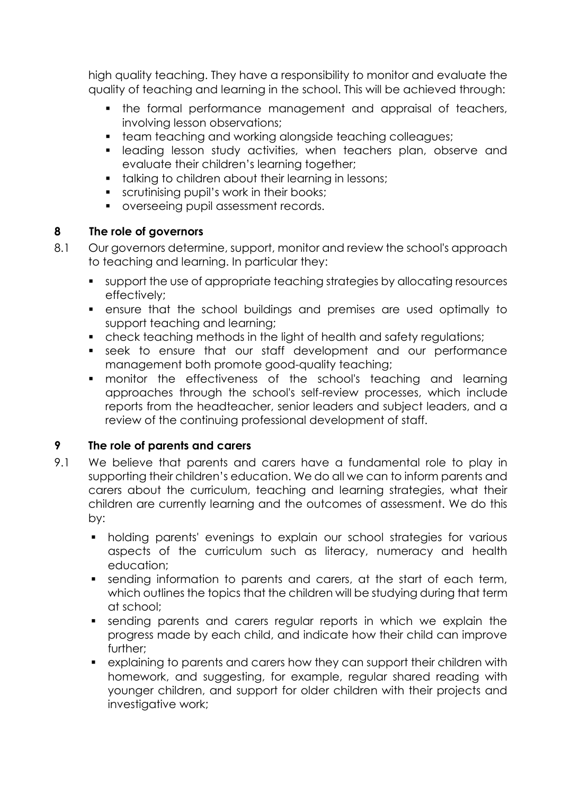high quality teaching. They have a responsibility to monitor and evaluate the quality of teaching and learning in the school. This will be achieved through:

- the formal performance management and appraisal of teachers, involving lesson observations;
- team teaching and working alongside teaching colleagues;
- **•** leading lesson study activities, when teachers plan, observe and evaluate their children's learning together;
- talking to children about their learning in lessons;
- **•** scrutinising pupil's work in their books;
- overseeing pupil assessment records.

#### **8 The role of governors**

- 8.1 Our governors determine, support, monitor and review the school's approach to teaching and learning. In particular they:
	- support the use of appropriate teaching strategies by allocating resources effectively;
	- ensure that the school buildings and premises are used optimally to support teaching and learning;
	- check teaching methods in the light of health and safety regulations;
	- seek to ensure that our staff development and our performance management both promote good-quality teaching;
	- monitor the effectiveness of the school's teaching and learning approaches through the school's self-review processes, which include reports from the headteacher, senior leaders and subject leaders, and a review of the continuing professional development of staff.

#### **9 The role of parents and carers**

- 9.1 We believe that parents and carers have a fundamental role to play in supporting their children's education. We do all we can to inform parents and carers about the curriculum, teaching and learning strategies, what their children are currently learning and the outcomes of assessment. We do this by:
	- holding parents' evenings to explain our school strategies for various aspects of the curriculum such as literacy, numeracy and health education;
	- sending information to parents and carers, at the start of each term, which outlines the topics that the children will be studying during that term at school;
	- **•** sending parents and carers regular reports in which we explain the progress made by each child, and indicate how their child can improve further;
	- explaining to parents and carers how they can support their children with homework, and suggesting, for example, regular shared reading with younger children, and support for older children with their projects and investigative work;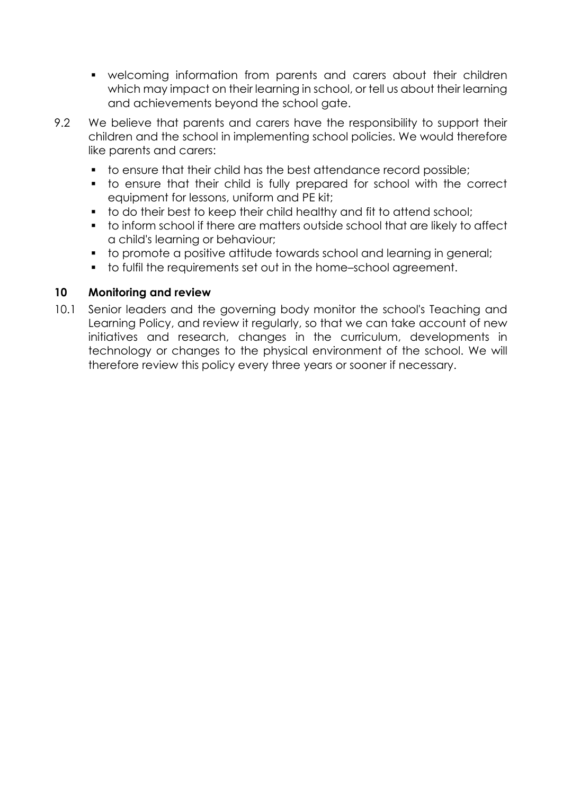- welcoming information from parents and carers about their children which may impact on their learning in school, or tell us about their learning and achievements beyond the school gate.
- 9.2 We believe that parents and carers have the responsibility to support their children and the school in implementing school policies. We would therefore like parents and carers:
	- to ensure that their child has the best attendance record possible;
	- to ensure that their child is fully prepared for school with the correct equipment for lessons, uniform and PE kit;
	- to do their best to keep their child healthy and fit to attend school;
	- to inform school if there are matters outside school that are likely to affect a child's learning or behaviour;
	- to promote a positive attitude towards school and learning in general;
	- to fulfil the requirements set out in the home–school agreement.

#### **10 Monitoring and review**

10.1 Senior leaders and the governing body monitor the school's Teaching and Learning Policy, and review it regularly, so that we can take account of new initiatives and research, changes in the curriculum, developments in technology or changes to the physical environment of the school. We will therefore review this policy every three years or sooner if necessary.